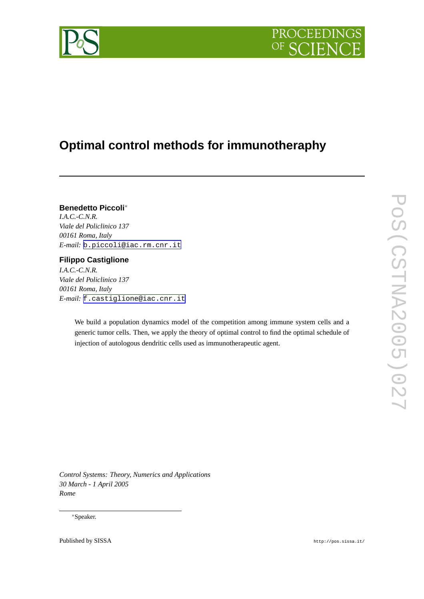

# **Optimal control methods for immunotheraphy**

# **Benedetto Piccoli**<sup>∗</sup>

*I.A.C.-C.N.R. Viale del Policlinico 137 00161 Roma, Italy E-mail:* [b.piccoli@iac.rm.cnr.it](mailto:b.piccoli@iac.rm.cnr.it)

## **Filippo Castiglione**

*I.A.C.-C.N.R. Viale del Policlinico 137 00161 Roma, Italy E-mail:* [f.castiglione@iac.cnr.it](mailto:f.castiglione@iac.cnr.it)

> We build a population dynamics model of the competition among immune system cells and a generic tumor cells. Then, we apply the theory of optimal control to find the optimal schedule of injection of autologous dendritic cells used as immunotherapeutic agent.

*Control Systems: Theory, Numerics and Applications 30 March - 1 April 2005 Rome*

#### <sup>∗</sup>Speaker.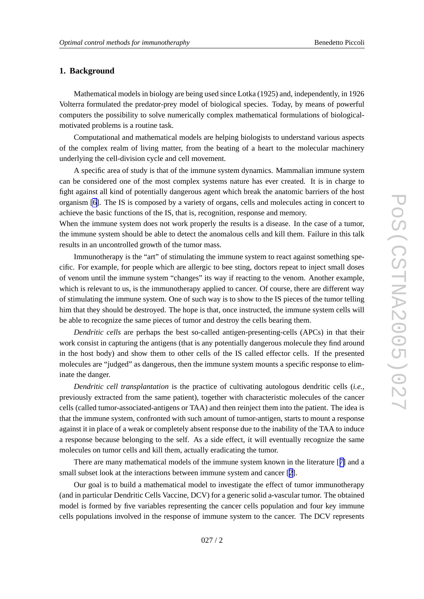#### **1. Background**

Mathematical models in biology are being used since Lotka (1925) and, independently , in 1926 Volterra formulated the predator-pre y model of biological species. Today , by means of powerful computers the possibility to solv e numerically comple x mathematical formulations of biologicalmotivated problems is a routine task.

Computational and mathematical models are helping biologists to understand various aspects of the comple x realm of living matter , from the beating of a heart to the molecular machinery underlying the cell-division cycle and cell mo vement.

A specific area of study is that of the immune system dynamics. Mammalian immune system can be considered one of the most comple x systems nature has e ver created. It is in charge to fight against all kind of potentially dangerous agent which break the anatomic barriers of the host organism [\[6\]](#page-13-0). The IS is composed by a variety of organs, cells and molecules acting in concert to achie v e the basic functions of the IS, that is, recognition, response and memory .

When the immune system does not work properly the results is a disease. In the case of a tumor, the immune system should be able to detect the anomalous cells and kill them. Failure in this talk results in an uncontrolled growth of the tumor mass.

Immunotherapy is the "art" of stimulating the immune system to react against something specific. For example, for people which are allergic to bee sting, doctors repeat to inject small doses of venom until the immune system "changes" its way if reacting to the venom. Another example, which is relevant to us, is the immunotherapy applied to cancer. Of course, there are different way of stimulating the immune system. One of such way is to sho w to the IS pieces of the tumor telling him that the y should be destroyed. The hope is that, once instructed, the immune system cells will be able to recognize the same pieces of tumor and destroy the cells bearing them.

*Dendritic cells* are perhaps the best so-called antigen-presenting-cells (APCs) in that their work consist in capturing the antigens (that is an y potentially dangerous molecule the y find around in the host body) and sho w them to other cells of the IS called effector cells. If the presented molecules are "judged" as dangerous, then the immune system mounts a specific response to eliminate the danger.

*Dendritic cell transplantation* is the practice of culti vating autologous dendritic cells (*i.e.,* previously extracted from the same patient), together with characteristic molecules of the cancer cells (called tumor-associated-antigens or TAA) and then reinject them into the patient. The idea is that the immune system, confronted with such amount of tumor-antigen, starts to mount a response against it in place of a weak or completely absent response due to the inability of the TAA to induce a response because belonging to the self. As a side effect, it will e ventually recognize the same molecules on tumor cells and kill them, actually eradicating the tumor .

There are many mathematical models of the immune system known in the literature [[7](#page-13-0)] and a small subset look at the interactions between immune system and cancer [[2](#page-12-0)].

Our goal is to build a mathematical model to investigate the effect of tumor immunotherapy (and in particular Dendritic Cells Vaccine, DCV) for a generic solid a-vascular tumor . The obtained model is formed by five variables representing the cancer cells population and four key immune cells populations involved in the response of immune system to the cancer . The DCV represents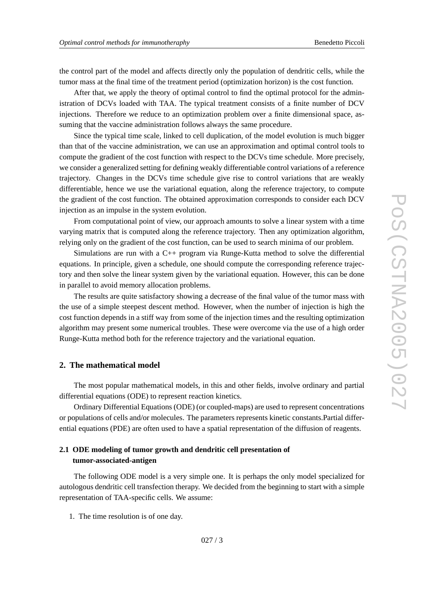the control part of the model and affects directly only the population of dendritic cells, while the tumor mass at the final time of the treatment period (optimization horizon) is the cost function.

After that, we apply the theory of optimal control to find the optimal protocol for the administration of DCVs loaded with TAA. The typical treatment consists of a finite number of DCV injections. Therefore we reduce to an optimization problem over a finite dimensional space, assuming that the vaccine administration follows always the same procedure.

Since the typical time scale, linked to cell duplication, of the model evolution is much bigger than that of the vaccine administration, we can use an approximation and optimal control tools to compute the gradient of the cost function with respect to the DCVs time schedule. More precisely , we consider a generalized setting for defining weakly differentiable control variations of a reference trajectory. Changes in the DCVs time schedule give rise to control variations that are weakly differentiable, hence we use the variational equation, along the reference trajectory, to compute the gradient of the cost function. The obtained approximation corresponds to consider each DCV injection as an impulse in the system e volution.

From computational point of view, our approach amounts to solve a linear system with a time varying matrix that is computed along the reference trajectory. Then any optimization algorithm, relying only on the gradient of the cost function, can be used to search minima of our problem.

Simulations are run with a C++ program via Runge-Kutta method to solve the differential equations. In principle, gi ven a schedule, one should compute the corresponding reference trajectory and then solve the linear system given by the variational equation. However, this can be done in parallel to avoid memory allocation problems.

The results are quite satisfactory showing a decrease of the final value of the tumor mass with the use of a simple steepest descent method. Howe ver , when the number of injection is high the cost function depends in a stiff way from some of the injection times and the resulting optimization algorithm may present some numerical troubles. These were overcome via the use of a high order Runge-Kutta method both for the reference trajectory and the variational equation.

#### **2. The mathematical model**

The most popular mathematical models, in this and other fields, involv e ordinary and partial differential equations (ODE) to represent reaction kinetics.

Ordinary Differential Equations (ODE) (or coupled-maps) are used to represent concentrations or populations of cells and/or molecules. The parameters represents kinetic constants.Partial differ ential equations (PDE) are often used to have a spatial representation of the diffusion of reagents.

#### **2.1 ODE modeling of tumor gr owth and dendritic cell presentation of tumor-associated-antigen**

The following ODE model is a very simple one. It is perhaps the only model specialized for autologous dendritic cell transfection therapy. We decided from the beginning to start with a simple representation of TAA-specific cells. We assume:

1. The time resolution is of one day .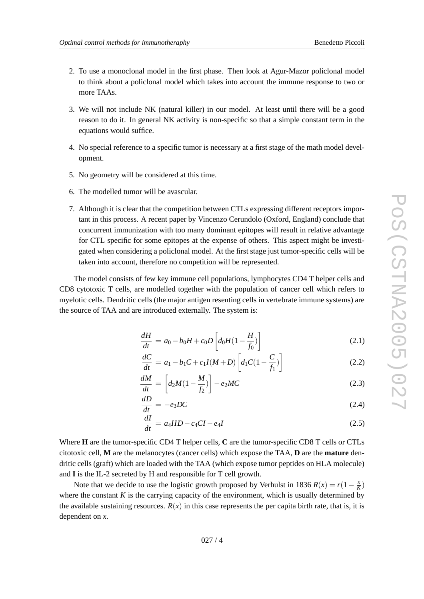- 
- <span id="page-3-0"></span>2. To use a monoclonal model in the first phase. Then look at Agur-Mazor policlonal model to think about a policlonal model which takes into account the immune response to tw o or more TAAs.
- 3. We will not include NK (natural killer) in our model. At least until there will be a good reason to do it. In general NK activity is non-specific so that a simple constant term in the equations would suffice.
- 4. No special reference to a specific tumor is necessary at a first stage of the math model development.
- 5. No geometry will be considered at this time.
- 6. The modelled tumor will be a vascular .
- 7. Although it is clear that the competition between CTLs expressing different receptors impor tant in this process. A recent paper by Vincenzo Cerundolo (Oxford, England) conclude that concurrent immunization with too many dominant epitopes will result in relative advantage for CTL specific for some epitopes at the expense of others. This aspect might be investigated when considering a policlonal model. At the first stage just tumor-specific cells will be taken into account, therefore no competition will be represented.

The model consists of few key immune cell populations, lymphocytes CD4 T helper cells and CD8 cytotoxic T cells, are modelled together with the population of cancer cell which refers to myelotic cells. Dendritic cells (the major antigen resenting cells in vertebrate immune systems) are the source of TAA and are introduced externally . The system is:

$$
\frac{dH}{dt} = a_0 - b_0 H + c_0 D \left[ d_0 H (1 - \frac{H}{f_0}) \right]
$$
\n(2.1)

$$
\frac{dC}{dt} = a_1 - b_1 C + c_1 I(M + D) \left[ d_1 C (1 - \frac{C}{f_1}) \right]
$$
\n(2.2)

$$
\frac{dM}{dt} = \left[d_2M(1 - \frac{M}{f_2})\right] - e_2MC\tag{2.3}
$$

$$
\frac{dD}{dt} = -e_3 DC \tag{2.4}
$$

$$
\frac{dI}{dt} = a_4 HD - c_4 CI - e_4 I \tag{2.5}
$$

Where **H** are the tumor-specific CD4 T helper cells, C are the tumor-specific CD8 T cells or CTLs citotoxic cell, M are the melanocytes (cancer cells) which expose the TAA, D are the mature dendritic cells (graft) which are loaded with the TAA (which expose tumor peptides on HLA molecule) and **I** is the IL-2 secreted by H and responsible for T cell growth.

Note that we decide to use the logistic growth proposed by Verhulst in 1836  $R(x) = r(1 - \frac{x}{K})$ where the constant  $K$  is the carrying capacity of the environment, which is usually determined by the available sustaining resources.  $R(x)$  in this case represents the per capita birth rate, that is, it is dependent on *x* .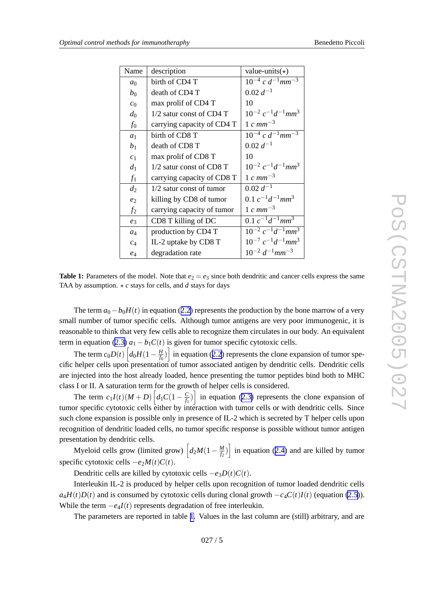| Name           | description                | value-units $(\star)$                          |
|----------------|----------------------------|------------------------------------------------|
| a <sub>0</sub> | birth of CD4 T             | $10^{-4}$ c $d^{-1}$ mm <sup>-3</sup>          |
| $b_0$          | death of CD4 T             | $0.02 d^{-1}$                                  |
| c <sub>0</sub> | max prolif of CD4 T        | 10                                             |
| $d_0$          | $1/2$ satur const of CD4 T | $10^{-2} c^{-1} d^{-1}$ mm <sup>3</sup>        |
| $f_0$          | carrying capacity of CD4 T | $1 cm m^{-3}$                                  |
| a <sub>1</sub> | birth of CD8 T             | $10^{-4} c d^{-1}$ <sub>nm</sub> $\frac{1}{2}$ |
| b <sub>1</sub> | death of CD8 T             | $0.02 d^{-1}$                                  |
| c <sub>1</sub> | max prolif of CD8 T        | 10                                             |
| $d_1$          | 1/2 satur const of CD8 T   | $10^{-2} c^{-1} d^{-1}$ mm <sup>3</sup>        |
| $f_1$          | carrying capacity of CD8 T | $1 cm m^{-3}$                                  |
| $d_2$          | 1/2 satur const of tumor   | $0.02 d^{-1}$                                  |
| $e_2$          | killing by CD8 of tumor    | 0.1 $c^{-1}d^{-1}$ mm <sup>3</sup>             |
| f <sub>2</sub> | carrying capacity of tumor | $1 cm m^{-3}$                                  |
| $e_3$          | CD8 T killing of DC        | $0.1 c^{-1} d^{-1}$ mm <sup>3</sup>            |
| $a_4$          | production by CD4 T        | $10^{-2} c^{-1} d^{-1}$ mm <sup>3</sup>        |
| $c_4$          | IL-2 uptake by CD8 T       | $10^{-7} c^{-1} d^{-1}$ mm <sup>3</sup>        |
| $e_4$          | degradation rate           | $10^{-2} d^{-1}$ mm <sup>-3</sup>              |

**Table 1:** Parameters of the model. Note that  $e_2 = e_3$  since both dendritic and cancer cells express the same TAA by assumption.  $\star c$  stays for cells, and  $d$  stays for days

The term  $a_0 - b_0 H(t)$  in equation ([2.2](#page-3-0)) represents the production by the bone marrow of a very small number of tumor specific cells. Although tumor antigens are very poor immunogenic, it is reasonable to think that very few cells able to recognize them circulates in our body. An equivalent term in equation [\(2.3](#page-3-0))  $a_1 - b_1 C(t)$  is given for tumor specific cytotoxic cells.

The term  $c_0D(t)$   $\left[d_0H(1-\frac{H}{f_0})\right]$  in equation ([2.2](#page-3-0)) represents the clone expansion of tumor specific helper cells upon presentation of tumor associated antigen by dendritic cells. Dendritic cells are injected into the host already loaded, hence presenting the tumor peptides bind both to MHC class I or II. A saturation term for the growth of helper cells is considered.

The term  $c_1I(t)(M+D)\left[d_1C(1-\frac{C}{f_1})\right]$  in equation ([2.3](#page-3-0)) represents the clone expansion of tumor specific cytotoxic cells either by interaction with tumor cells or with dendritic cells. Since such clone expansion is possible only in presence of IL-2 which is secreted by T helper cells upon recognition of dendritic loaded cells, no tumor specific response is possible without tumor antigen presentation by dendritic cells.

Myeloid cells grow (limited grow)  $\left[ d_2 M(1 - \frac{M}{f_2}) \right]$  in equation ([2.4](#page-3-0)) and are killed by tumor specific cytotoxic cells  $-e_2M(t)C(t)$ .

Dendritic cells are killed by cytotoxic cells  $-e_3D(t)C(t)$ .

Interleukin IL-2 is produced by helper cells upon recognition of tumor loaded dendritic cells  $a_4H(t)D(t)$  and is consumed by cytotoxic cells during clonal growth  $-c_4C(t)I(t)$  (equation [\(2.5\)](#page-3-0)). While the term  $-e_4I(t)$  represents degradation of free interleukin.

The parameters are reported in table 1 . Values in the last column are (still) arbitrary , and are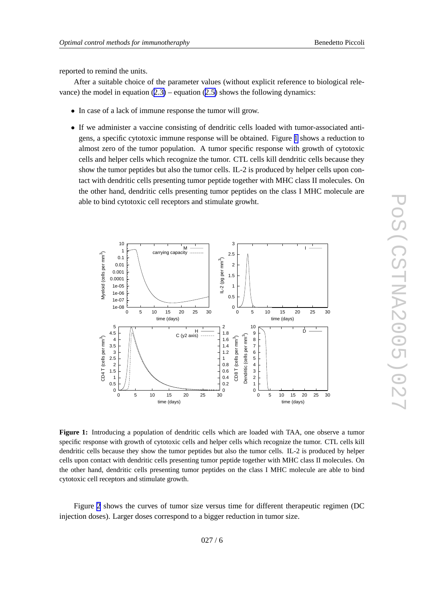<span id="page-5-0"></span>reported to remind the units.

After a suitable choice of the parameter values (without explicit reference to biological relevance) the model in equation  $(2.3)$  $(2.3)$  – equation  $(2.5)$  $(2.5)$  shows the following dynamics:

- In case of a lack of immune response the tumor will grow.
- If we administer a vaccine consisting of dendritic cells loaded with tumor-associated antigens, a specific cytotoxic immune response will be obtained. Figure 1 shows a reduction to almost zero of the tumor population. A tumor specific response with growth of cytotoxic cells and helper cells which recognize the tumor . CTL cells kill dendritic cells because the y sho w the tumor peptides but also the tumor cells. IL-2 is produced by helper cells upon contact with dendritic cells presenting tumor peptide together with MHC class II molecules. On the other hand, dendritic cells presenting tumor peptides on the class I MHC molecule are able to bind cytotoxic cell receptors and stimulate growht.



**Figure 1:** Introducing a population of dendritic cells which are loaded with TAA, one observe a tumor specific response with growth of cytotoxic cells and helper cells which recognize the tumor . CTL cells kill dendritic cells because the y sho w the tumor peptides but also the tumor cells. IL-2 is produced by helper cells upon contact with dendritic cells presenting tumor peptide together with MHC class II molecules. On the other hand, dendritic cells presenting tumor peptides on the class I MHC molecule are able to bind cytotoxic cell receptors and stimulate growth.

Figure [2](#page-6-0) shows the curves of tumor size versus time for different therapeutic regimen (DC injection doses). Larger doses correspond to a bigger reduction in tumor size.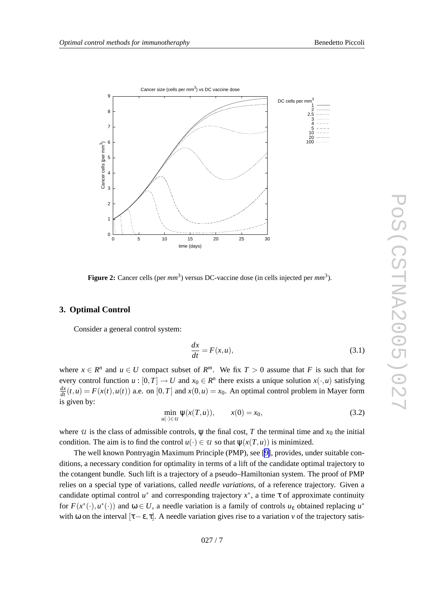<span id="page-6-0"></span>

**Figure 2:** Cancer cells (per  $mm^3$ ) versus DC-vaccine dose (in cells injected per  $mm^3$ ).

#### **3. Optimal Control**

Consider a general control system:

$$
\frac{dx}{dt} = F(x, u),\tag{3.1}
$$

where  $x \in R^n$  and  $u \in U$  compact subset of  $R^m$ . We fix  $T > 0$  assume that F is such that for every control function  $u : [0, T] \to U$  and  $x_0 \in R^n$  there exists a unique solution  $x(\cdot, u)$  satisfying  $\frac{dx}{dt}(t, u) = F(x(t), u(t))$  a.e. on [0, *T*] and  $x(0, u) = x_0$ . An optimal control problem in Mayer form is gi ven by:

$$
\min_{u(\cdot) \in u} \psi(x(T, u)), \qquad x(0) = x_0,\tag{3.2}
$$

where  $U$  is the class of admissible controls,  $\Psi$  the final cost,  $T$  the terminal time and  $x_0$  the initial condition. The aim is to find the control  $u(\cdot) \in \mathcal{U}$  so that  $\psi(x(T, u))$  is minimized.

The well known Pontryagin Maximum Principle (PMP), see [\[9\]](#page-13-0), provides, under suitable conditions, a necessary condition for optimality in terms of a lift of the candidate optimal trajectory to the cotangent bundle. Such lift is a trajectory of a pseudo–Hamiltonian system. The proof of PMP relies on a special type of variations, called *needle variations*, of a reference trajectory. Given a candidate optimal control  $u^*$  and corresponding trajectory  $x^*$ , a time  $\tau$  of approximate continuity for  $F(x^*(\cdot), u^*(\cdot))$  and  $\omega \in U$ , a needle variation is a family of controls  $u_{\varepsilon}$  obtained replacing  $u^*$ with  $\omega$  on the interval  $[\tau-\varepsilon,\tau]$ . A needle variation gives rise to a variation v of the trajectory satis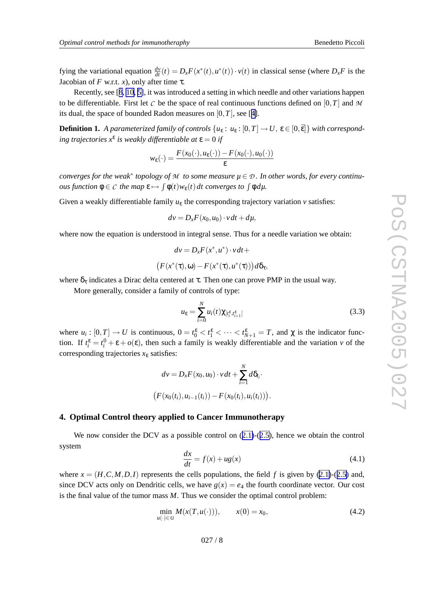<span id="page-7-0"></span>fying the variational equation  $\frac{dv}{dt}(t) = D_x F(x^*(t), u^*(t)) \cdot v(t)$  in classical sense (where  $D_x F$  is the Jacobian of  $F$  w.r.t.  $x$ ), only after time  $\tau$ .

Recently, see [[8](#page-13-0), [10](#page-13-0), [5\]](#page-13-0), it was introduced a setting in which needle and other variations happen to be differentiable. First let  $C$  be the space of real continuous functions defined on  $[0, T]$  and  $M$ its dual, the space of bounded Radon measures on  $[0, T]$ , see [[4\]](#page-13-0).

**Definition 1.** A parameterized family of controls  $\{u_\varepsilon : u_\varepsilon : [0,T] \to U, \, \varepsilon \in [0,\overline{\varepsilon}] \}$  with correspond*ing trajectories x*<sup>ε</sup> *is weakly differentiable at* ε = 0 *if*

$$
w_{\varepsilon}(\cdot) = \frac{F(x_0(\cdot), u_{\varepsilon}(\cdot)) - F(x_0(\cdot), u_0(\cdot))}{\varepsilon}
$$

converges for the weak\* topology of M to some measure  $\mu \in \mathcal{D}$ . In other words, for every continu*ous function*  $\phi \in \mathcal{C}$  *the map*  $\epsilon \mapsto \int \phi(t)w_{\epsilon}(t) dt$  *converges to*  $\int \phi d\mu$ .

Given a weakly differentiable family  $u_{\varepsilon}$  the corresponding trajectory variation  $v$  satisfies:

$$
dv = D_x F(x_0, u_0) \cdot v dt + d\mu,
$$

where no w the equation is understood in integral sense. Thus for a needle variation we obtain:

$$
dv = D_x F(x^*, u^*) \cdot v dt +
$$

$$
(F(x^*(\tau), \omega) - F(x^*(\tau), u^*(\tau))) d\delta_{\tau},
$$

where  $\delta_{\tau}$  indicates a Dirac delta centered at  $\tau$ . Then one can prove PMP in the usual way.

More generally , consider a family of controls of type:

$$
u_{\varepsilon} = \sum_{i=0}^{N} u_i(t) \chi_{[t_i^{\varepsilon}, t_{i+1}^{\varepsilon}]} \tag{3.3}
$$

where  $u_i : [0, T] \to U$  is continuous,  $0 = t_0^{\varepsilon} < t_1^{\varepsilon} < \cdots < t_{N+1}^{\varepsilon} = T$ , and  $\chi$  is the indicator function. If  $t_i^{\varepsilon} = t_i^0 + \varepsilon + o(\varepsilon)$ , then such a family is weakly differentiable and the variation *v* of the corresponding trajectories *x* <sup>ε</sup> satisfies:

$$
dv = D_x F(x_0, u_0) \cdot v dt + \sum_{i=1}^{N} d\delta_{t_i} \cdot
$$
  

$$
(F(x_0(t_i), u_{i-1}(t_i)) - F(x_0(t_i), u_i(t_i))).
$$

#### **4. Optimal Control theory applied to Cancer Immunotherapy**

We now consider the DCV as a possible control on  $(2.1)-(2.5)$  $(2.1)-(2.5)$  $(2.1)-(2.5)$  $(2.1)-(2.5)$ , hence we obtain the control system

$$
\frac{dx}{dt} = f(x) + ug(x) \tag{4.1}
$$

where  $x = (H, C, M, D, I)$  represents the cells populations, the field f is given by ([2.1\)](#page-3-0)-([2.5](#page-3-0)) and, since DCV acts only on Dendritic cells, we have  $g(x) = e_4$  the fourth coordinate vector. Our cost is the final value of the tumor mass M. Thus we consider the optimal control problem:

$$
\min_{u(\cdot)\in\mathcal{U}} M(x(T, u(\cdot))), \qquad x(0) = x_0,\tag{4.2}
$$

$$
027/8
$$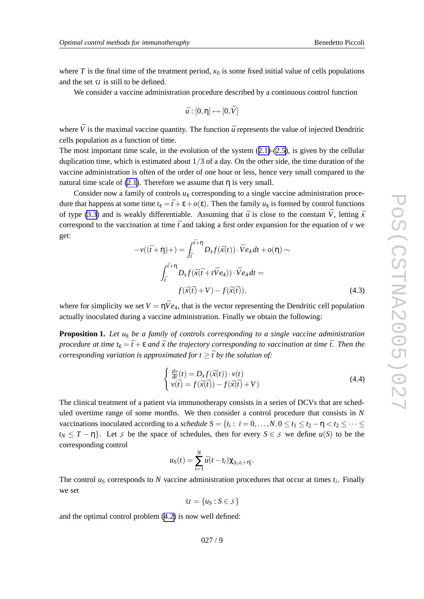<span id="page-8-0"></span>where  $T$  is the final time of the treatment period,  $x_0$  is some fixed initial value of cells populations and the set *U* is still to be defined.

We consider a vaccine administration procedure described by a continuous control function

$$
\bar{u}:[0,\eta]\mapsto[0,\bar{V}]
$$

where  $\bar{V}$  is the maximal vaccine quantity. The function  $\bar{u}$  represents the value of injected Dendritic cells population as a function of time.

The most important time scale, in the evolution of the system  $(2.1)-(2.5)$  $(2.1)-(2.5)$  $(2.1)-(2.5)$  $(2.1)-(2.5)$ , is given by the cellular duplication time, which is estimated about  $1/3$  of a day. On the other side, the time duration of the vaccine administration is often of the order of one hour or less, hence very small compared to the natural time scale of  $(2.1)$ . Therefore we assume that  $\eta$  is very small.

Consider now a family of controls  $u_{\varepsilon}$  corresponding to a single vaccine administration procedure that happens at some time  $t_{\varepsilon} = \bar{t} + \varepsilon + o(\varepsilon)$ . Then the family  $u_{\varepsilon}$  is formed by control functions of type [\(3.3](#page-7-0)) and is weakly differentiable. Assuming that  $\bar{u}$  is close to the constant  $\bar{V}$ , letting  $\bar{x}$ correspond to the vaccination at time  $\bar{t}$  and taking a first order expansion for the equation of  $v$  we get:

$$
-v((\bar{t}+\eta)+)=\int_{\bar{t}}^{\bar{t}+\eta}D_{x}f(\bar{x}(t))\cdot\bar{V}e_{4}dt+o(\eta)\sim
$$

$$
\int_{\bar{t}}^{\bar{t}+\eta}D_{x}f(\bar{x}(\bar{t}+t\bar{V}e_{4}))\cdot\bar{V}e_{4}dt=
$$

$$
f(\bar{x}(\bar{t})+V)-f(\bar{x}(\bar{t})), \qquad (4.3)
$$

where for simplicity we set  $V = \eta \bar{V} e_4$ , that is the vector representing the Dendritic cell population actually inoculated during a vaccine administration. Finally we obtain the following:

**Proposition 1.** Let  $u_{\varepsilon}$  be a family of controls corresponding to a single vaccine administration procedure at time  $t_{\varepsilon} = \overline{t} + \varepsilon$  and  $\overline{x}$  the trajectory corresponding to vaccination at time  $\overline{t}$ . Then the *corresponding variation* is approximated for  $t \geq \overline{t}$  by the solution of:

$$
\begin{cases}\n\frac{d\nu}{dt}(t) = D_x f(\bar{x}(t)) \cdot v(t) \\
v(\bar{t}) = f(\bar{x}(\bar{t})) - f(\bar{x}(\bar{t}) + V)\n\end{cases}
$$
\n(4.4)

The clinical treatment of a patient via immunotherap y consists in a series of DCVs that are scheduled overtime range of some months. We then consider a control procedure that consists in *N* vaccinations inoculated according to a *schedule*  $S = \{t_i : i = 0, ..., N, 0 \le t_1 \le t_2 - \eta < t_2 \le \cdots \le t_m\}$  $t_N \leq T - \eta$ . Let *S* be the space of schedules, then for every  $S \in S$  we define  $u(S)$  to be the corresponding control

$$
u_S(t) = \sum_{i=1}^N \bar{u}(t-t_i) \chi_{[t_i,t_i+\eta]}.
$$

The control  $u<sub>S</sub>$  corresponds to N vaccine administration procedures that occur at times  $t<sub>i</sub>$ . Finally we set

 $u = \{u_S : S \in S\}$ 

and the optimal control problem [\(4.2](#page-7-0) ) is no w well defined:

027 / 9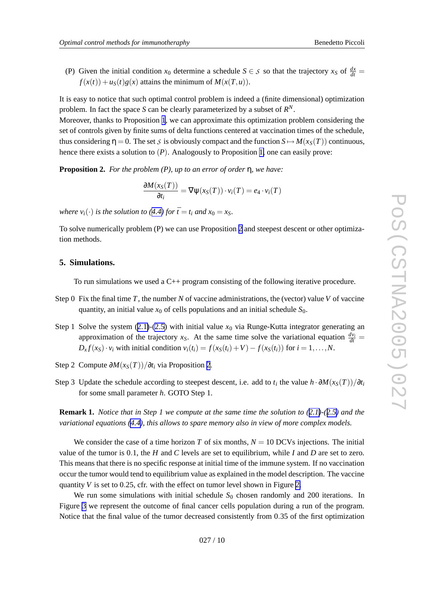(P) Given the initial condition  $x_0$  determine a schedule  $S \in S$  so that the trajectory  $x_S$  of  $\frac{dx}{dt} =$  $f(x(t)) + u<sub>S</sub>(t)g(x)$  attains the minimum of  $M(x(T, u))$ .

It is easy to notice that such optimal control problem is indeed a (finite dimensional) optimization problem. In fact the space *S* can be clearly parameterized by a subset of  $R^N$ .

Moreo ver , thanks to Proposition [1](#page-8-0) , we can approximate this optimization problem considering the set of controls given by finite sums of delta functions centered at vaccination times of the schedule, thus considering  $\eta = 0$ . The set *S* is obviously compact and the function  $S \mapsto M(x_S(T))$  continuous, hence there exists a solution to (P). Analogously to Proposition [1](#page-8-0), one can easily prove:

**Proposition 2.** *For the problem (P), up to an error of order* η *, we have:*

$$
\frac{\partial M(x_S(T))}{\partial t_i} = \nabla \psi(x_S(T)) \cdot v_i(T) = e_4 \cdot v_i(T)
$$

*where*  $v_i(\cdot)$  *is the solution to* ([4.4](#page-8-0)) *for*  $\bar{t} = t_i$  *and*  $x_0 = x_S$ .

To solv e numerically problem (P) we can use Proposition 2 and steepest descent or other optimization methods.

#### **5. Simulations.**

To run simulations we used a  $C_{++}$  program consisting of the following iterative procedure.

- Step 0 Fix the final time T, the number N of vaccine administrations, the (vector) value V of vaccine quantity, an initial value  $x_0$  of cells populations and an initial schedule  $S_0$ .
- Step 1 Solve the system  $(2.1)-(2.5)$  $(2.1)-(2.5)$  $(2.1)-(2.5)$  $(2.1)-(2.5)$  $(2.1)-(2.5)$  with initial value  $x_0$  via Runge-Kutta integrator generating an approximation of the trajectory  $x_s$ . At the same time solve the variational equation  $\frac{dv_i}{dt}$  $D_x f(x_S) \cdot v_i$  with initial condition  $v_i(t_i) = f(x_S(t_i) + V) - f(x_S(t_i))$  for  $i = 1, ..., N$ .
- Step 2 Compute  $\frac{\partial M(x_S(T))}{\partial t_i}$  via Proposition 2.
- Step 3 Update the schedule according to steepest descent, i.e. add to  $t_i$  the value  $h \cdot \partial M(x_S(T))/\partial t_i$ for some small parameter h. GOTO Step 1.

**Remark 1.** Notice that in Step 1 we compute at the same time the solution to  $(2.1)$  $(2.1)$ - $(2.5)$  $(2.5)$  $(2.5)$  and the *variational equations [\(4.4\)](#page-8-0), this allows to spare memory also in vie w of more complex models.*

We consider the case of a time horizon T of six months,  $N = 10$  DCVs injections. The initial value of the tumor is 0.1, the *H* and *C* levels are set to equilibrium, while *I* and *D* are set to zero. This means that there is no specific response at initial time of the immune system. If no vaccination occur the tumor would tend to equilibrium value as explained in the model description. The vaccine quantity  $V$  is set to  $0.25$  $0.25$  $0.25$ , cfr. with the effect on tumor level shown in Figure 2.

We run some simulations with initial schedule  $S_0$  chosen randomly and 200 iterations. In Figure [3](#page-10-0) we represent the outcome of final cancer cells population during a run of the program. Notice that the final value of the tumor decreased consistently from 0 .35 of the first optimization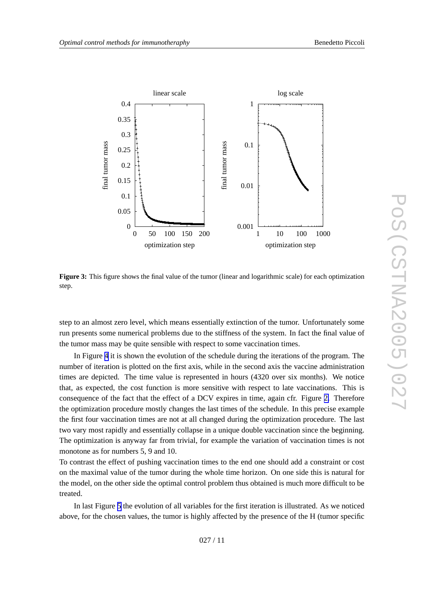<span id="page-10-0"></span>

**Figure 3:** This figure shows the final value of the tumor (linear and logarithmic scale) for each optimization step.

step to an almost zero level, which means essentially extinction of the tumor. Unfortunately some run presents some numerical problems due to the stiffness of the system. In fact the final value of the tumor mass may be quite sensible with respect to some vaccination times.

In Figure [4](#page-11-0) it is shown the evolution of the schedule during the iterations of the program. The number of iteration is plotted on the first axis, while in the second axis the vaccine administration times are depicted. The time value is represented in hours (4320 o ver six months). We notice that, as expected, the cost function is more sensitive with respect to late vaccinations. This is consequence of the fact that the effect of a DCV expires in time, again cfr . Figure [2](#page-6-0) . Therefore the optimization procedure mostly changes the last times of the schedule. In this precise example the first four vaccination times are not at all changed during the optimization procedure. The last two vary most rapidly and essentially collapse in a unique double vaccination since the beginning. The optimization is anyway far from trivial, for example the variation of vaccination times is not monotone as for numbers 5, 9 and 10.

To contrast the effect of pushing vaccination times to the end one should add a constraint or cost on the maximal value of the tumor during the whole time horizon. On one side this is natural for the model, on the other side the optimal control problem thus obtained is much more difficult to be treated.

In last Figure [5](#page-12-0) the e volution of all variables for the first iteration is illustrated. As we noticed abo ve, for the chosen values, the tumor is highly affected by the presence of the H (tumor specific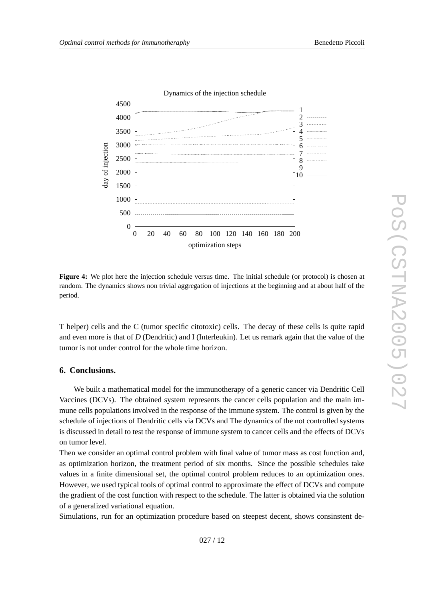<span id="page-11-0"></span>

**Figure 4:** We plot here the injection schedule versus time. The initial schedule (or protocol) is chosen at random. The dynamics shows non trivial aggre gation of injections at the beginning and at about half of the period.

T helper) cells and the C (tumor specific citotoxic) cells. The decay of these cells is quite rapid and even more is that of *D* (Dendritic) and I (Interleukin). Let us remark again that the value of the tumor is not under control for the whole time horizon.

### **6. Conclusions.**

We built a mathematical model for the immunotherapy of a generic cancer via Dendritic Cell Vaccines (DCVs). The obtained system represents the cancer cells population and the main immune cells populations involved in the response of the immune system. The control is given by the schedule of injections of Dendritic cells via DCVs and The dynamics of the not controlled systems is discussed in detail to test the response of immune system to cancer cells and the effects of DCVs on tumor le vel.

Then we consider an optimal control problem with final value of tumor mass as cost function and, as optimization horizon, the treatment period of six months. Since the possible schedules tak e values in a finite dimensional set, the optimal control problem reduces to an optimization ones. Howe ver , we used typical tools of optimal control to approximate the effect of DCVs and compute the gradient of the cost function with respect to the schedule. The latter is obtained via the solution of a generalized variational equation.

Simulations, run for an optimization procedure based on steepest decent, shows consinstent de-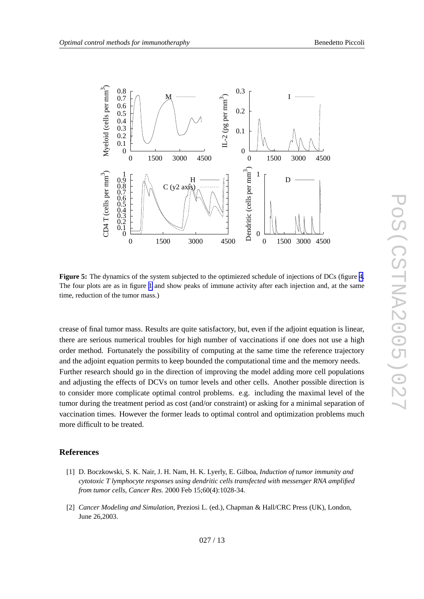<span id="page-12-0"></span>

**Figure 5:** The dynamics of the system subjected to the optimiezed schedule of injections of DCs (figure [4](#page-11-0). The four plots are as in figure [1](#page-5-0) and sho w peaks of immune activity after each injection and, at the same time, reduction of the tumor mass.)

crease of final tumor mass. Results are quite satisfactory , but, e ven if the adjoint equation is linear , there are serious numerical troubles for high number of vaccinations if one does not use a high order method. Fortunately the possibility of computing at the same time the reference trajectory and the adjoint equation permits to keep bounded the computational time and the memory needs. Further research should go in the direction of improving the model adding more cell populations and adjusting the effects of DCVs on tumor le vels and other cells. Another possible direction is to consider more complicate optimal control problems. e.g. including the maximal level of the tumor during the treatment period as cost (and/or constraint) or asking for a minimal separation of vaccination times. However the former leads to optimal control and optimization problems much more difficult to be treated.

#### **References**

- [1] D. Boczk owski, S. K. Nair , J. H. Nam, H. K. Lyerly , E. Gilboa, *Induction of tumor immunity and cytotoxic T lymphocyte responses using dendritic cells transfected with messenger RNA amplified from tumor cells* , *Cancer Res.* 2000 Feb 15;60(4):1028-34.
- [2] *Cancer Modeling and Simulation* , Preziosi L. (ed.), Chapman & Hall/CRC Press (UK), London, June 26,2003.